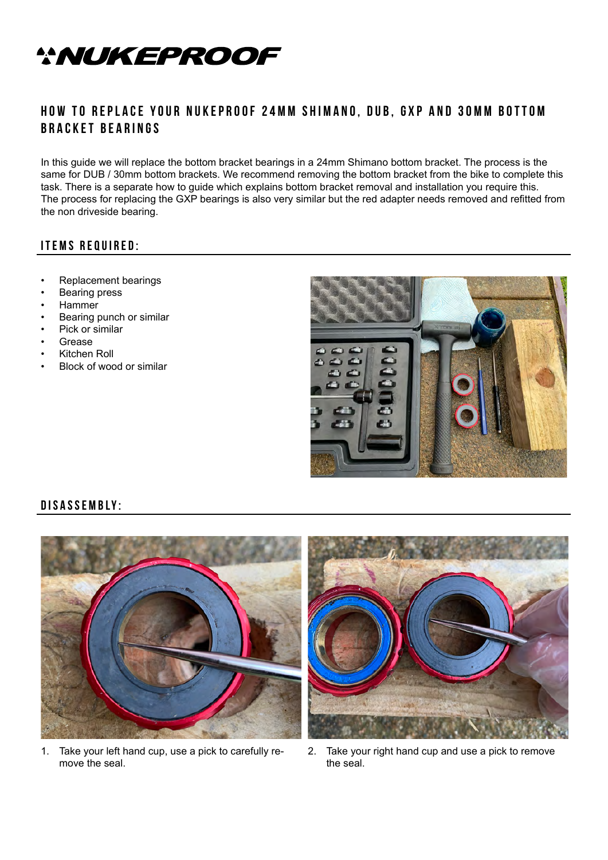

## **HOW TO REPLACE YOUR NUKEPROOF 24MM SHIMANO, DUB, GXP AND 30MM BOTTOM bracket bearings**

In this guide we will replace the bottom bracket bearings in a 24mm Shimano bottom bracket. The process is the same for DUB / 30mm bottom brackets. We recommend removing the bottom bracket from the bike to complete this task. There is a separate how to guide which explains bottom bracket removal and installation you require this. The process for replacing the GXP bearings is also very similar but the red adapter needs removed and refitted from the non driveside bearing.

## **Items required:**

- Replacement bearings
- Bearing press
- Hammer
- Bearing punch or similar
- Pick or similar
- **Grease**
- Kitchen Roll
- Block of wood or similar



## **Disassembly:**



1. Take your left hand cup, use a pick to carefully remove the seal.



2. Take your right hand cup and use a pick to remove the seal.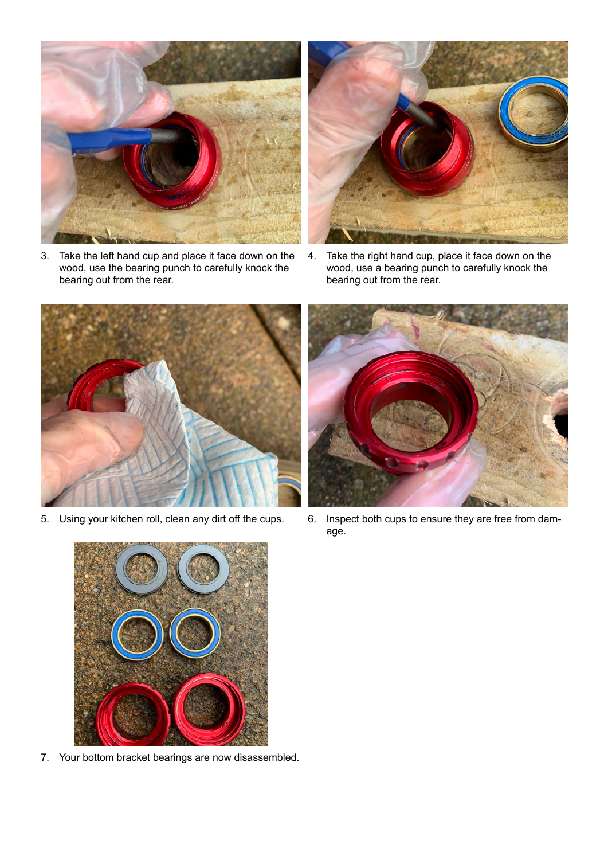

3. Take the left hand cup and place it face down on the wood, use the bearing punch to carefully knock the bearing out from the rear.



4. Take the right hand cup, place it face down on the wood, use a bearing punch to carefully knock the bearing out from the rear.





5. Using your kitchen roll, clean any dirt off the cups. 6. Inspect both cups to ensure they are free from damage.



7. Your bottom bracket bearings are now disassembled.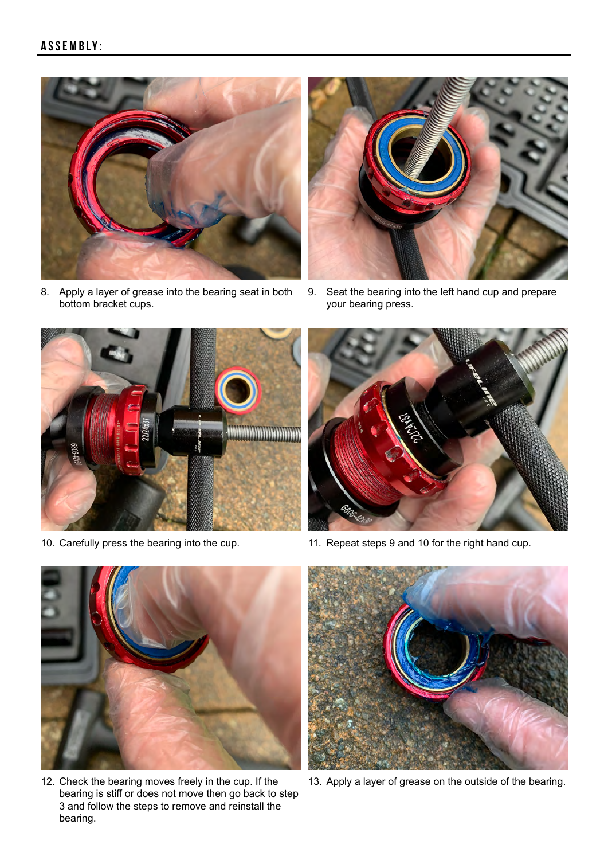

8. Apply a layer of grease into the bearing seat in both bottom bracket cups.



9. Seat the bearing into the left hand cup and prepare your bearing press.





10. Carefully press the bearing into the cup. 11. Repeat steps 9 and 10 for the right hand cup.



12. Check the bearing moves freely in the cup. If the bearing is stiff or does not move then go back to step 3 and follow the steps to remove and reinstall the bearing.



13. Apply a layer of grease on the outside of the bearing.